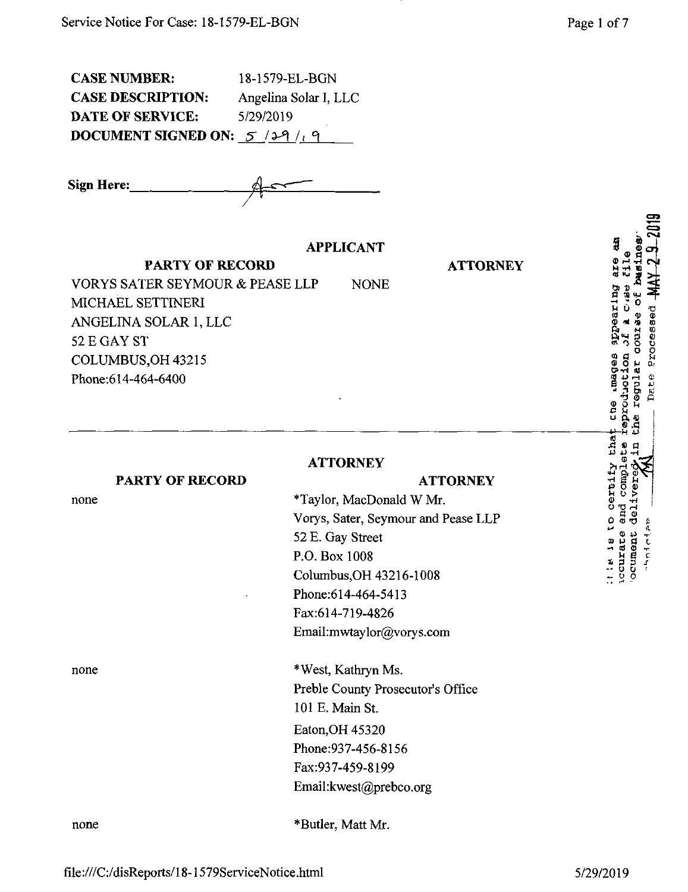| <b>CASE NUMBER:</b>                  | 18-1579-EL-BGN        |
|--------------------------------------|-----------------------|
| <b>CASE DESCRIPTION:</b>             | Angelina Solar I, LLC |
| DATE OF SERVICE:                     | 5/29/2019             |
| <b>DOCUMENT SIGNED ON:</b> $5/29/19$ |                       |

**Sign Here:**

### **APPLICANT**

**PARTY OF RECORD**

**ATTORNEY**

**ATTORNEY**

VORYS SAFER SEYMOUR & PEASE LLP NONE MICHAEL SETTINERI ANGELINA SOLAR 1, LLC 52 E GAY ST COLUMBUS,OH 43215 Phone:614-464-6400

#### **ATTORNEY**

52 E. Gay Street P.O. Box 1008

\*Taylor, MacDonald W Mr.

Columbus,OH 43216-1008

Email:mwtaylor@vorys.com

Preble County Prosecutor's Office

Phone:614-464-5413 Fax:614-719-4826

Vorys, Sater, Seymour and Pease LLP

#### **PARTY OF RECORD**

none

none \*West, Kathryn Ms.

none \*Butler, Matt Mr.

Email:kwest@prebco.org

101 E. Main St.

Eaton,OH 45320 Phone:937-456-8156 Fax:937-459-8199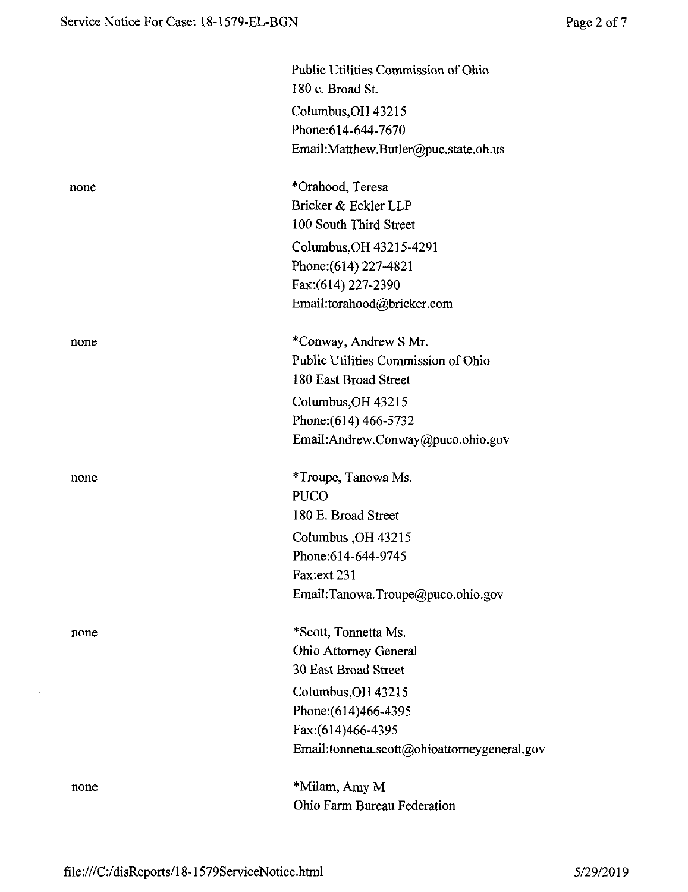|      | Public Utilities Commission of Ohio<br>180 e. Broad St. |
|------|---------------------------------------------------------|
|      | Columbus, OH 43215                                      |
|      | Phone: 614-644-7670                                     |
|      | Email:Matthew.Butler@puc.state.oh.us                    |
| none | *Orahood, Teresa                                        |
|      | Bricker & Eckler LLP                                    |
|      | 100 South Third Street                                  |
|      | Columbus, OH 43215-4291                                 |
|      | Phone: (614) 227-4821                                   |
|      | Fax: (614) 227-2390                                     |
|      | Email:torahood@bricker.com                              |
| none | *Conway, Andrew S Mr.                                   |
|      | Public Utilities Commission of Ohio                     |
|      | 180 East Broad Street                                   |
|      | Columbus, OH 43215                                      |
|      | Phone: (614) 466-5732                                   |
|      | Email:Andrew.Conway@puco.ohio.gov                       |
| none | *Troupe, Tanowa Ms.                                     |
|      | <b>PUCO</b>                                             |
|      | 180 E. Broad Street                                     |
|      | Columbus, OH 43215                                      |
|      | Phone: 614-644-9745                                     |
|      | Fax: ext 231                                            |
|      | Email:Tanowa.Troupe@puco.ohio.gov                       |
| none | *Scott, Tonnetta Ms.                                    |
|      | Ohio Attorney General                                   |
|      | 30 East Broad Street                                    |
|      | Columbus, OH 43215                                      |
|      | Phone: (614)466-4395                                    |
|      | Fax:(614)466-4395                                       |
|      | Email:tonnetta.scott@ohioattorneygeneral.gov            |
| none | *Milam, Amy M                                           |
|      | Ohio Farm Bureau Federation                             |

 $\bar{\mathcal{A}}$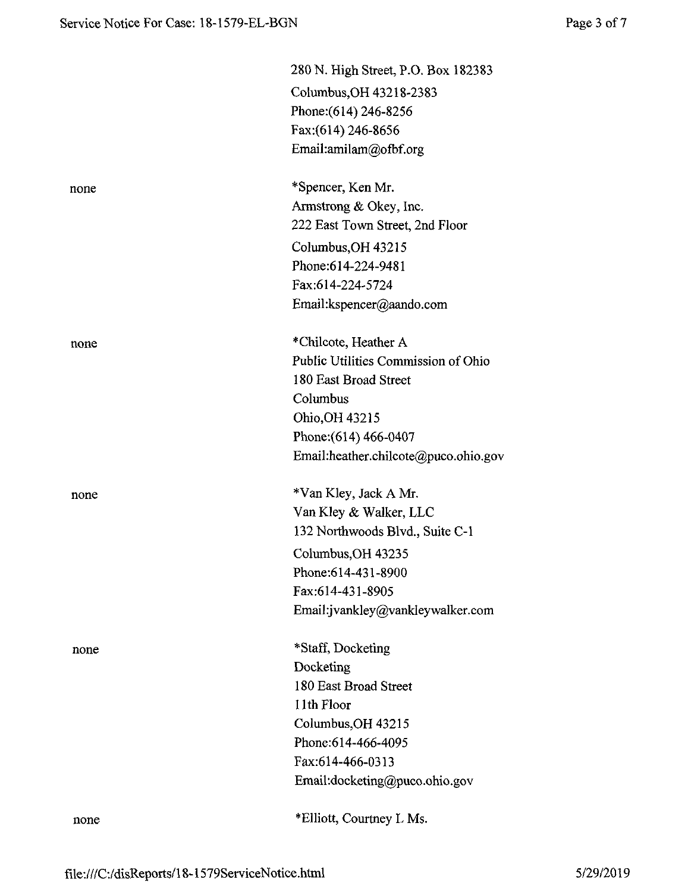|      | 280 N. High Street, P.O. Box 182383  |
|------|--------------------------------------|
|      | Columbus, OH 43218-2383              |
|      | Phone: (614) 246-8256                |
|      | Fax: (614) 246-8656                  |
|      | Email:amilam@ofbf.org                |
| none | *Spencer, Ken Mr.                    |
|      | Armstrong & Okey, Inc.               |
|      | 222 East Town Street, 2nd Floor      |
|      | Columbus, OH 43215                   |
|      | Phone:614-224-9481                   |
|      | Fax:614-224-5724                     |
|      | Email:kspencer@aando.com             |
| none | *Chilcote, Heather A                 |
|      | Public Utilities Commission of Ohio  |
|      | 180 East Broad Street                |
|      | Columbus                             |
|      | Ohio, OH 43215                       |
|      | Phone: (614) 466-0407                |
|      | Email:heather.chilcote@puco.ohio.gov |
| none | *Van Kley, Jack A Mr.                |
|      | Van Kley & Walker, LLC               |
|      | 132 Northwoods Blvd., Suite C-1      |
|      | Columbus, OH 43235                   |
|      | Phone:614-431-8900                   |
|      | Fax:614-431-8905                     |
|      | Email:jvankley@vankleywalker.com     |
| none | *Staff, Docketing                    |
|      | Docketing                            |
|      | 180 East Broad Street                |
|      | 11th Floor                           |
|      | Columbus, OH 43215                   |
|      | Phone: 614-466-4095                  |
|      | Fax:614-466-0313                     |
|      | Email:docketing@puco.ohio.gov        |
| none | *Elliott, Courtney L Ms.             |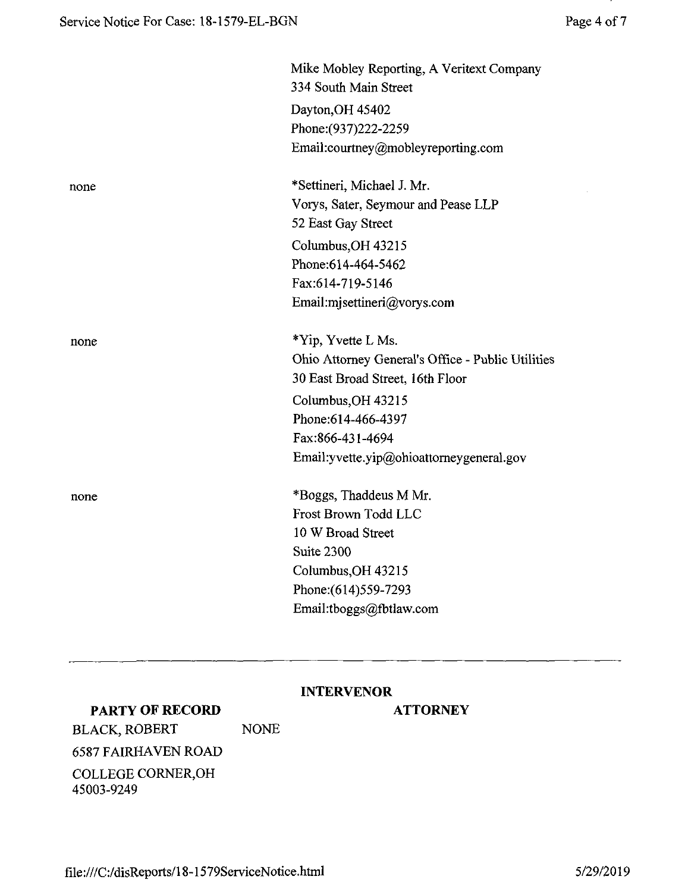|      | Mike Mobley Reporting, A Veritext Company<br>334 South Main Street |
|------|--------------------------------------------------------------------|
|      | Dayton, OH 45402                                                   |
|      | Phone: (937) 222-2259                                              |
|      | Email:courtney@mobleyreporting.com                                 |
| none | *Settineri, Michael J. Mr.                                         |
|      | Vorys, Sater, Seymour and Pease LLP                                |
|      | 52 East Gay Street                                                 |
|      | Columbus, OH 43215                                                 |
|      | Phone:614-464-5462                                                 |
|      | Fax:614-719-5146                                                   |
|      | Email:mjsettineri@vorys.com                                        |
| none | *Yip, Yvette L Ms.                                                 |
|      | Ohio Attorney General's Office - Public Utilities                  |
|      | 30 East Broad Street, 16th Floor                                   |
|      | Columbus, OH 43215                                                 |
|      | Phone:614-466-4397                                                 |
|      | Fax:866-431-4694                                                   |
|      | Email: yvette.yip@ohioattorneygeneral.gov                          |
| none | *Boggs, Thaddeus M Mr.                                             |
|      | Frost Brown Todd LLC                                               |
|      | 10 W Broad Street                                                  |
|      | Suite 2300                                                         |
|      | Columbus, OH 43215                                                 |
|      | Phone: (614) 559-7293                                              |
|      | Email:tboggs@fbtlaw.com                                            |

### **INTERVENOR**

# **PARTY OF RECORD**

## **ATTORNEY**

BLACK, ROBERT NONE 6587 FAIRHAVEN ROAD COLLEGE CORNER,OH 45003-9249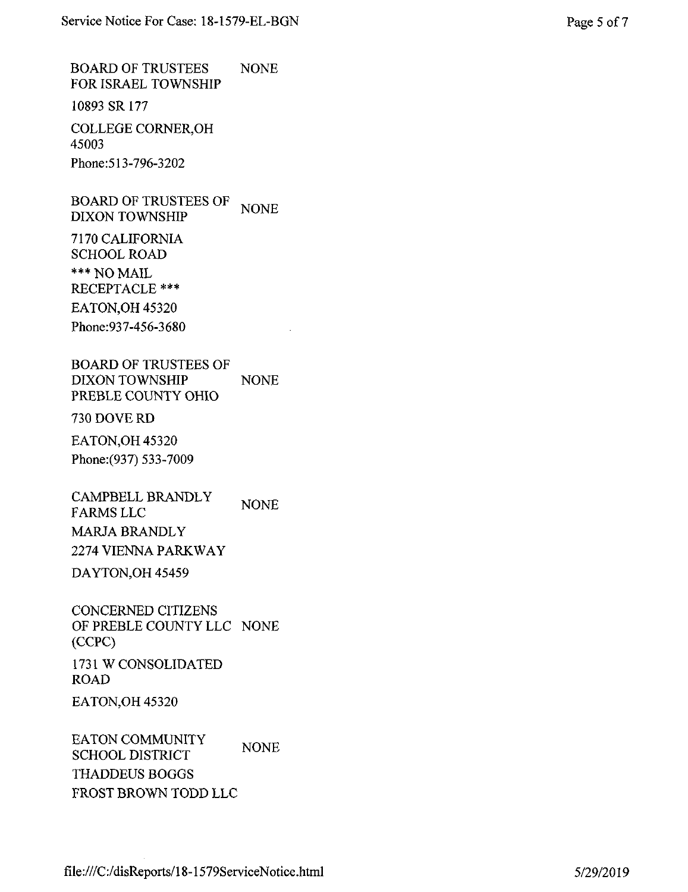BOARD OF TRUSTEES NONE FOR ISRAEL TOWNSHIP

10893 SR 177

COLLEGE CORNER,OH 45003 Phone:513-796-3202

BOARD OF TRUSTEES OF DIXON TOWNSHIP NONE

7170 CALIFORNIA SCHOOL ROAD \*\*\*NO MAIL RECEPTACLE \*\*\* EATON,OH 45320 Phone:937-456-3680

BOARD OF TRUSTEES OF DIXON TOWNSHIP NONE PREBLE COUNTY OHIO

730 DOVERD

EATON,OH 45320 Phone:(937) 533-7009

CAMPBELL BRANDLY FARMS LLC MARJA BRANDLY 2274 VIENNA PARKWAY NONE

DAYTON,OH 45459

CONCERNED CITIZENS OF PREBLE COUNTY LLC NONE (CCPC)

1731 W CONSOLIDATED ROAD

EATON,OH 45320

EATON COMMUNITY SCHOOL DISTRICT THADDEUS BOGGS FROST BROWN TODD LLC NONE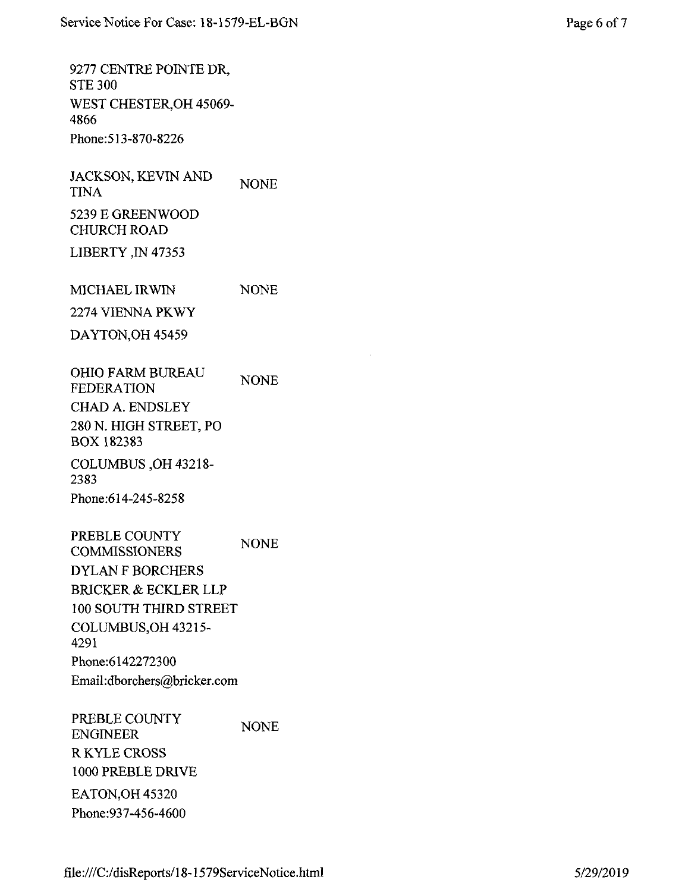9277 CENTRE POINTE DR, STE 300 WEST CHESTER,OH 45069- 4866 Phone:513-870-8226

JACKSON, KEVIN AND TINA 5239 E GREENWOOD CHURCH ROAD NONE

LIBERTY ,IN 47353

MICHAEL IRWIN NONE

2274 VIENNA PKWY

DAYTON,OH 45459

OHIO FARM BUREAU FEDERATION CHAD A. ENDSLEY 280 N. HIGH STREET, PO BOX 182383 NONE

COLUMBUS ,OH 43218- 2383 Phone:614-245-8258

PREBLE COUNTY COMMISSIONERS DYLAN F BORCHERS BRICKER & ECKLER LLP 100 SOUTH THIRD STREET COLUMBUS,OH 43215- 4291 Phone:6142272300 Email:dborchers@bricker.com NONE

PREBLE COUNTY ENGINEER RKYLE CROSS 1000 PREBLE DRIVE EATON,OH 45320 Phone:937-456-4600 NONE